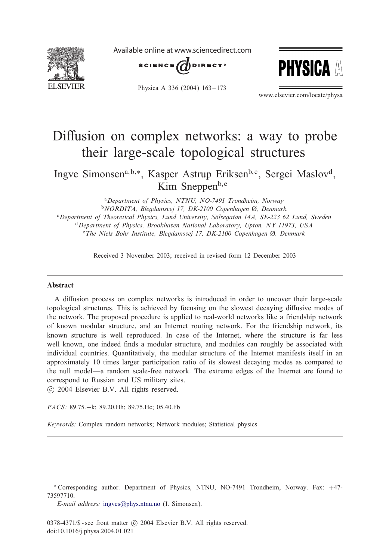

Available online at www.sciencedirect.com





Physica A 336 (2004) 163-173

www.elsevier.com/locate/physa

# Diffusion on complex networks: a way to probe their large-scale topological structures

Ingve Simonsena;b;∗, Kasper Astrup Eriksenb; c, Sergei Maslovd, Kim Sneppen $b,e$ 

<sup>a</sup>*Department of Physics, NTNU, NO-7491 Trondheim, Norway* <sup>b</sup>*NORDITA, Blegdamsvej 17, DK-2100 Copenhagen* I*, Denmark* <sup>c</sup>*Department of Theoretical Physics, Lund University, Solvegatan 14A, SE-223 62 Lund, Sweden*  <sup>d</sup>*Department of Physics, Brookhaven National Laboratory, Upton, NY 11973, USA* <sup>e</sup>The Niels Bohr Institute, Blegdamsvej 17, DK-2100 Copenhagen Ø, Denmark

Received 3 November 2003; received in revised form 12 December 2003

#### Abstract

A diffusion process on complex networks is introduced in order to uncover their large-scale topological structures. This is achieved by focusing on the slowest decaying diffusive modes of the network. The proposed procedure is applied to real-world networks like a friendship network of known modular structure, and an Internet routing network. For the friendship network, its known structure is well reproduced. In case of the Internet, where the structure is far less well known, one indeed finds a modular structure, and modules can roughly be associated with individual countries. Quantitatively, the modular structure of the Internet manifests itself in an approximately 10 times larger participation ratio of its slowest decaying modes as compared to the null model—a random scale-free network. The extreme edges of the Internet are found to correspond to Russian and US military sites. -c 2004 Elsevier B.V. All rights reserved.

*PACS:* 89.75.−k; 89.20.Hh; 89.75.Hc; 05.40.Fb

*Keywords:* Complex random networks; Network modules; Statistical physics

<sup>∗</sup> Corresponding author. Department of Physics, NTNU, NO-7491 Trondheim, Norway. Fax: +47- 73597710.

*E-mail address:* [ingves@phys.ntnu.no](mailto:ingves@phys.ntnu.no) (I. Simonsen).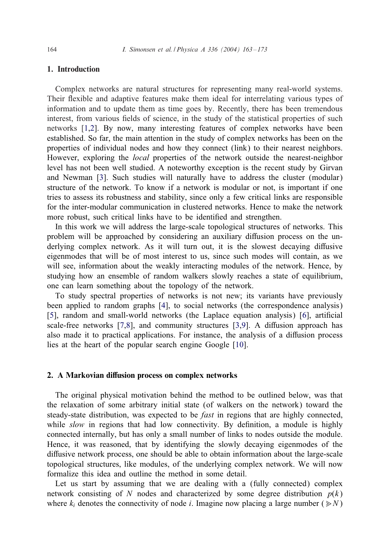# <span id="page-1-0"></span>1. Introduction

Complex networks are natural structures for representing many real-world systems. Their flexible and adaptive features make them ideal for interrelating various types of information and to update them as time goes by. Recently, there has been tremendous interest, from various fields of science, in the study of the statistical properties of such networks [\[1,2\]](#page-10-0). By now, many interesting features of complex networks have been established. So far, the main attention in the study of complex networks has been on the properties of individual nodes and how they connect (link) to their nearest neighbors. However, exploring the *local* properties of the network outside the nearest-neighbor level has not been well studied. A noteworthy exception is the recent study by Girvan and Newman [\[3\]](#page-10-0). Such studies will naturally have to address the cluster (modular) structure of the network. To know if a network is modular or not, is important if one tries to assess its robustness and stability, since only a few critical links are responsible for the inter-modular communication in clustered networks. Hence to make the network more robust, such critical links have to be identified and strengthen.

In this work we will address the large-scale topological structures of networks. This problem will be approached by considering an auxiliary diffusion process on the underlying complex network. As it will turn out, it is the slowest decaying diffusive eigenmodes that will be of most interest to us, since such modes will contain, as we will see, information about the weakly interacting modules of the network. Hence, by studying how an ensemble of random walkers slowly reaches a state of equilibrium, one can learn something about the topology of the network.

To study spectral properties of networks is not new; its variants have previously been applied to random graphs [\[4\]](#page-10-0), to social networks (the correspondence analysis) [\[5\]](#page-10-0), random and small-world networks (the Laplace equation analysis) [\[6\]](#page-10-0), artificial scale-free networks  $[7,8]$ , and community structures  $[3,9]$ . A diffusion approach has also made it to practical applications. For instance, the analysis of a diffusion process lies at the heart of the popular search engine Google [\[10\]](#page-10-0).

#### 2. A Markovian diffusion process on complex networks

The original physical motivation behind the method to be outlined below, was that the relaxation of some arbitrary initial state (of walkers on the network) toward the steady-state distribution, was expected to be *fast* in regions that are highly connected, while *slow* in regions that had low connectivity. By definition, a module is highly connected internally, but has only a small number of links to nodes outside the module. Hence, it was reasoned, that by identifying the slowly decaying eigenmodes of the diffusive network process, one should be able to obtain information about the large-scale topological structures, like modules, of the underlying complex network. We will now formalize this idea and outline the method in some detail.

Let us start by assuming that we are dealing with a (fully connected) complex network consisting of N nodes and characterized by some degree distribution  $p(k)$ where  $k_i$  denotes the connectivity of node *i*. Imagine now placing a large number ( $\gg N$ )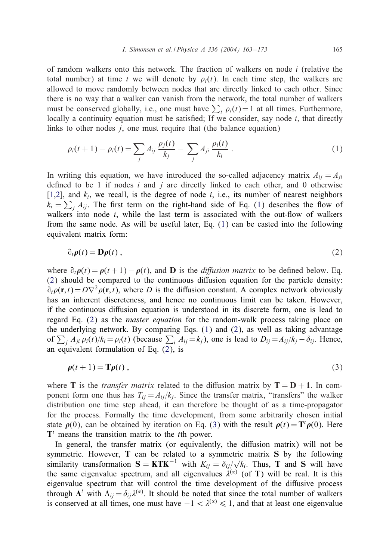<span id="page-2-0"></span>of random walkers onto this network. The fraction of walkers on node  $i$  (relative the total number) at time t we will denote by  $\rho_i(t)$ . In each time step, the walkers are allowed to move randomly between nodes that are directly linked to each other. Since there is no way that a walker can vanish from the network, the total number of walkers must be conserved globally, i.e., one must have  $\sum_i \rho_i(t) = 1$  at all times. Furthermore, locally a continuity equation must be satisfied; If we consider, say node  $i$ , that directly links to other nodes *i*, one must require that (the balance equation)

$$
\rho_i(t+1) - \rho_i(t) = \sum_j A_{ij} \frac{\rho_j(t)}{k_j} - \sum_j A_{ji} \frac{\rho_i(t)}{k_i} \,. \tag{1}
$$

In writing this equation, we have introduced the so-called adjacency matrix  $A_{ii} = A_{ii}$ defined to be 1 if nodes  $i$  and  $j$  are directly linked to each other, and 0 otherwise [\[1,2\]](#page-10-0), and  $k_i$ , we recall, is the degree of node i, i.e., its number of nearest neighbors  $k_i = \sum_j A_{ij}$ . The first term on the right-hand side of Eq. (1) describes the flow of walkers into node  $i$ , while the last term is associated with the out-flow of walkers from the same node. As will be useful later, Eq. (1) can be casted into the following equivalent matrix form:

$$
\partial_t \rho(t) = \mathbf{D}\rho(t) \,, \tag{2}
$$

where  $\partial_t \rho(t) = \rho(t + 1) - \rho(t)$ , and **D** is the *diffusion matrix* to be defined below. Eq.  $(2)$  should be compared to the continuous diffusion equation for the particle density:  $\partial_t \rho(\mathbf{r}, t) = D \nabla^2 \rho(\mathbf{r}, t)$ , where D is the diffusion constant. A complex network obviously has an inherent discreteness, and hence no continuous limit can be taken. However, if the continuous diffusion equation is understood in its discrete form, one is lead to regard Eq. (2) as the *master equation* for the random-walk process taking place on the underlying network. By comparing Eqs. (1) and (2), as well as taking advantage of  $\sum_j A_{ji} \rho_i(t)/k_i = \rho_i(t)$  (because  $\sum_i A_{ij} = k_j$ ), one is lead to  $D_{ij} = A_{ij}/k_j - \delta_{ij}$ . Hence, an equivalent formulation of Eq. (2), is

$$
\rho(t+1) = \mathbf{T}\rho(t) \,,\tag{3}
$$

where T is the *transfer matrix* related to the diffusion matrix by  $T = D + 1$ . In component form one thus has  $T_{ii} = A_{ii}/k_i$ . Since the transfer matrix, "transfers" the walker distribution one time step ahead, it can therefore be thought of as a time-propagator for the process. Formally the time development, from some arbitrarily chosen initial state  $\rho(0)$ , can be obtained by iteration on Eq. (3) with the result  $\rho(t) = T^t \rho(0)$ . Here  $T<sup>t</sup>$  means the transition matrix to the *t*th power.

In general, the transfer matrix (or equivalently, the diffusion matrix) will not be symmetric. However, T can be related to a symmetric matrix S by the following symmetric. However, **i** can be related to a symmetric matrix **S** by the following similarity transformation  $S = KTK^{-1}$  with  $K_{ij} = \delta_{ij}/\sqrt{k_i}$ . Thus, **T** and **S** will have the same eigenvalue spectrum, and all eigenvalues  $\lambda^{(\alpha)}$  (of T) will be real. It is this eigenvalue spectrum that will control the time development of the diffusive process through  $\Lambda^t$  with  $\Lambda_{ij} = \delta_{ij} \lambda^{(\alpha)}$ . It should be noted that since the total number of walkers is conserved at all times, one must have  $-1 < \lambda^{(\alpha)} \le 1$ , and that at least one eigenvalue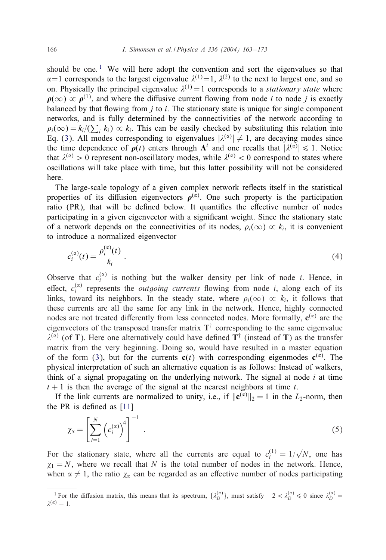should be one.<sup>1</sup> We will here adopt the convention and sort the eigenvalues so that  $\alpha=1$  corresponds to the largest eigenvalue  $\lambda^{(1)}=1$ ,  $\lambda^{(2)}$  to the next to largest one, and so on. Physically the principal eigenvalue  $\lambda^{(1)} = 1$  corresponds to a *stationary state* where  $\rho(\infty) \propto \rho^{(1)}$ , and where the diffusive current flowing from node *i* to node *i* is exactly balanced by that flowing from  $j$  to  $i$ . The stationary state is unique for single component networks, and is fully determined by the connectivities of the network according to  $\rho_i(\infty) = k_i/(\sum_i k_i) \propto k_i$ . This can be easily checked by substituting this relation into Eq. [\(3\)](#page-2-0). All modes corresponding to eigenvalues  $|\lambda^{(\alpha)}| \neq 1$ , are decaying modes since the time dependence of  $\rho(t)$  enters through  $\Lambda^t$  and one recalls that  $|\lambda^{(\alpha)}| \leq 1$ . Notice that  $\lambda^{(\alpha)} > 0$  represent non-oscillatory modes, while  $\lambda^{(\alpha)} < 0$  correspond to states where oscillations will take place with time, but this latter possibility will not be considered here.

The large-scale topology of a given complex network reflects itself in the statistical properties of its diffusion eigenvectors  $\rho^{(\alpha)}$ . One such property is the participation ratio (PR), that will be defined below. It quantifies the effective number of nodes participating in a given eigenvector with a significant weight. Since the stationary state of a network depends on the connectivities of its nodes,  $\rho_i(\infty) \propto k_i$ , it is convenient to introduce a normalized eigenvector

$$
c_i^{(\alpha)}(t) = \frac{\rho_i^{(\alpha)}(t)}{k_i} \ . \tag{4}
$$

Observe that  $c_i^{(\alpha)}$  is nothing but the walker density per link of node *i*. Hence, in effect,  $c_i^{(\alpha)}$  represents the *outgoing currents* flowing from node *i*, along each of its links, toward its neighbors. In the steady state, where  $\rho_i(\infty) \propto k_i$ , it follows that these currents are all the same for any link in the network. Hence, highly connected nodes are not treated differently from less connected nodes. More formally,  $\mathbf{c}^{(\alpha)}$  are the eigenvectors of the transposed transfer matrix  $T^{\dagger}$  corresponding to the same eigenvalue  $\lambda^{(\alpha)}$  (of T). Here one alternatively could have defined T<sup>†</sup> (instead of T) as the transfer matrix from the very beginning. Doing so, would have resulted in a master equation of the form [\(3\)](#page-2-0), but for the currents  $c(t)$  with corresponding eigenmodes  $c^{(\alpha)}$ . The physical interpretation of such an alternative equation is as follows: Instead of walkers, think of a signal propagating on the underlying network. The signal at node  $i$  at time  $t + 1$  is then the average of the signal at the nearest neighbors at time t.

If the link currents are normalized to unity, i.e., if  $\|\mathbf{c}^{(\alpha)}\|_2 = 1$  in the  $L_2$ -norm, then the PR is defined as  $[11]$ 

$$
\chi_{\alpha} = \left[ \sum_{i=1}^{N} \left( c_i^{(\alpha)} \right)^4 \right]^{-1} . \tag{5}
$$

For the stationary state, where all the currents are equal to  $c_i^{(1)} = 1/\sqrt{N}$ , one has  $\chi_1 = N$ , where we recall that N is the total number of nodes in the network. Hence, when  $\alpha \neq 1$ , the ratio  $\chi_{\alpha}$  can be regarded as an effective number of nodes participating

<sup>&</sup>lt;sup>1</sup> For the diffusion matrix, this means that its spectrum,  $\{\lambda_D^{(\alpha)}\}$ , must satisfy  $-2 < \lambda_D^{(\alpha)} \le 0$  since  $\lambda_D^{(\alpha)} =$  $\lambda^{(\alpha)} - 1$ .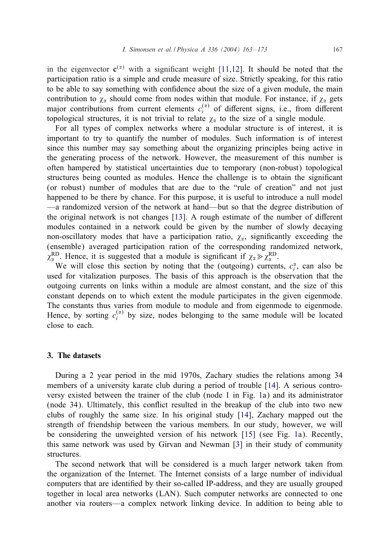in the eigenvector  $c^{(x)}$  with a significant weight [\[11,12\]](#page-10-0). It should be noted that the participation ratio is a simple and crude measure of size. Strictly speaking, for this ratio to be able to say something with confidence about the size of a given module, the main contribution to  $\chi_{\alpha}$  should come from nodes within that module. For instance, if  $\chi_{\alpha}$  gets major contributions from current elements  $c_i^{(\alpha)}$  of different signs, i.e., from different topological structures, it is not trivial to relate  $\chi_{\alpha}$  to the size of a single module.

For all types of complex networks where a modular structure is of interest, it is important to try to quantify the number of modules. Such information is of interest since this number may say something about the organizing principles being active in the generating process of the network. However, the measurement of this number is often hampered by statistical uncertainties due to temporary (non-robust) topological structures being counted as modules. Hence the challenge is to obtain the significant (or robust) number of modules that are due to the "rule of creation" and not just happened to be there by chance. For this purpose, it is useful to introduce a null model —a randomized version of the network at hand—but so that the degree distribution of the original network is not changes  $[13]$ . A rough estimate of the number of different modules contained in a network could be given by the number of slowly decaying non-oscillatory modes that have a participation ratio,  $\chi_{\alpha}$ , significantly exceeding the (ensemble) averaged participation ration of the corresponding randomized network,  $\chi_{\alpha}^{RD}$ . Hence, it is suggested that a module is significant if  $\chi_{\alpha} \gg \chi_{\alpha}^{RD}$ .

We will close this section by noting that the (outgoing) currents,  $c_i^{\alpha}$ , can also be used for vitalization purposes. The basis of this approach is the observation that the outgoing currents on links within a module are almost constant, and the size of this constant depends on to which extent the module participates in the given eigenmode. The constants thus varies from module to module and from eigenmode to eigenmode. Hence, by sorting  $c_i^{(\alpha)}$  by size, nodes belonging to the same module will be located close to each.

# 3. The datasets

During a 2 year period in the mid 1970s, Zachary studies the relations among 34 members of a university karate club during a period of trouble [\[14\]](#page-10-0). A serious controversy existed between the trainer of the club (node 1 in Fig. [1a](#page-5-0)) and its administrator (node 34). Ultimately, this conflict resulted in the breakup of the club into two new clubs of roughly the same size. In his original study [\[14\]](#page-10-0), Zachary mapped out the strength of friendship between the various members. In our study, however, we will be considering the unweighted version of his network [\[15\]](#page-10-0) (see Fig. [1a](#page-5-0)). Recently, this same network was used by Girvan and Newman [\[3\]](#page-10-0) in their study of community structures.

The second network that will be considered is a much larger network taken from the organization of the Internet. The Internet consists of a large number of individual computers that are identified by their so-called IP-address, and they are usually grouped together in local area networks (LAN). Such computer networks are connected to one another via routers—a complex network linking device. In addition to being able to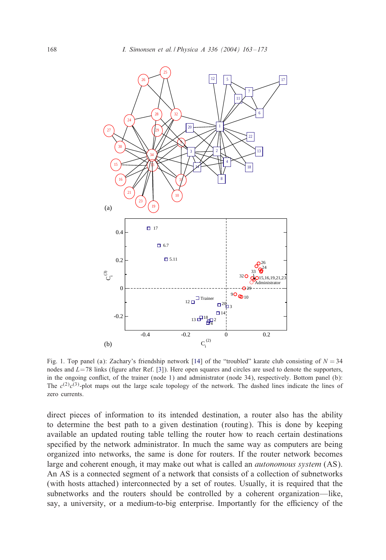<span id="page-5-0"></span>

Fig. 1. Top panel (a): Zachary's friendship network [\[14\]](#page-10-0) of the "troubled" karate club consisting of  $N = 34$ nodes and  $L=78$  links (figure after Ref. [\[3\]](#page-10-0)). Here open squares and circles are used to denote the supporters, in the ongoing conflict, of the trainer (node 1) and administrator (node 34), respectively. Bottom panel (b): The  $c^{(2)}c^{(3)}$ -plot maps out the large scale topology of the network. The dashed lines indicate the lines of zero currents.

direct pieces of information to its intended destination, a router also has the ability to determine the best path to a given destination (routing). This is done by keeping available an updated routing table telling the router how to reach certain destinations specified by the network administrator. In much the same way as computers are being organized into networks, the same is done for routers. If the router network becomes large and coherent enough, it may make out what is called an *autonomous system* (AS). An AS is a connected segment of a network that consists of a collection of subnetworks (with hosts attached) interconnected by a set of routes. Usually, it is required that the subnetworks and the routers should be controlled by a coherent organization—like, say, a university, or a medium-to-big enterprise. Importantly for the efficiency of the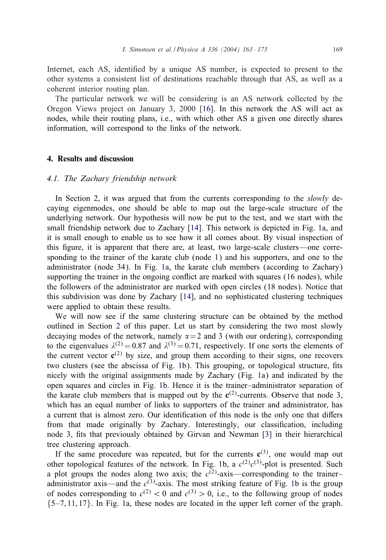Internet, each AS, identified by a unique AS number, is expected to present to the other systems a consistent list of destinations reachable through that AS, as well as a coherent interior routing plan.

The particular network we will be considering is an AS network collected by the Oregon Views project on January 3, 2000 [\[16\]](#page-10-0). In this network the AS will act as nodes, while their routing plans, i.e., with which other AS a given one directly shares information, will correspond to the links of the network.

# 4. Results and discussion

#### *4.1. The Zachary friendship network*

In Section [2,](#page-1-0) it was argued that from the currents corresponding to the *slowly* decaying eigenmodes, one should be able to map out the large-scale structure of the underlying network. Our hypothesis will now be put to the test, and we start with the small friendship network due to Zachary [\[14\]](#page-10-0). This network is depicted in Fig. [1a](#page-5-0), and it is small enough to enable us to see how it all comes about. By visual inspection of this 5gure, it is apparent that there are, at least, two large-scale clusters—one corresponding to the trainer of the karate club (node 1) and his supporters, and one to the administrator (node 34). In Fig. [1a](#page-5-0), the karate club members (according to Zachary) supporting the trainer in the ongoing conflict are marked with squares (16 nodes), while the followers of the administrator are marked with open circles (18 nodes). Notice that this subdivision was done by Zachary [\[14\]](#page-10-0), and no sophisticated clustering techniques were applied to obtain these results.

We will now see if the same clustering structure can be obtained by the method outlined in Section [2](#page-1-0) of this paper. Let us start by considering the two most slowly decaying modes of the network, namely  $\alpha = 2$  and 3 (with our ordering), corresponding to the eigenvalues  $\lambda^{(2)} = 0.87$  and  $\lambda^{(3)} = 0.71$ , respectively. If one sorts the elements of the current vector  $c^{(2)}$  by size, and group them according to their signs, one recovers two clusters (see the abscissa of Fig. [1b](#page-5-0)). This grouping, or topological structure, fits nicely with the original assignments made by Zachary (Fig. [1a](#page-5-0)) and indicated by the open squares and circles in Fig. [1b](#page-5-0). Hence it is the trainer–administrator separation of the karate club members that is mapped out by the  $c^{(2)}$ -currents. Observe that node 3, which has an equal number of links to supporters of the trainer and administrator, has a current that is almost zero. Our identification of this node is the only one that differs from that made originally by Zachary. Interestingly, our classification, including node 3, fits that previously obtained by Girvan and Newman [\[3\]](#page-10-0) in their hierarchical tree clustering approach.

If the same procedure was repeated, but for the currents  $c^{(3)}$ , one would map out other topological features of the network. In Fig. [1b](#page-5-0), a  $c^{(2)}c^{(3)}$ -plot is presented. Such a plot groups the nodes along two axis; the  $c^{(2)}$ -axis—corresponding to the trainer– administrator axis—and the  $c^{(3)}$ -axis. The most striking feature of Fig. [1b](#page-5-0) is the group of nodes corresponding to  $c^{(2)} < 0$  and  $c^{(3)} > 0$ , i.e., to the following group of nodes  $\{5-7, 11, 17\}$ . In Fig. [1a](#page-5-0), these nodes are located in the upper left corner of the graph.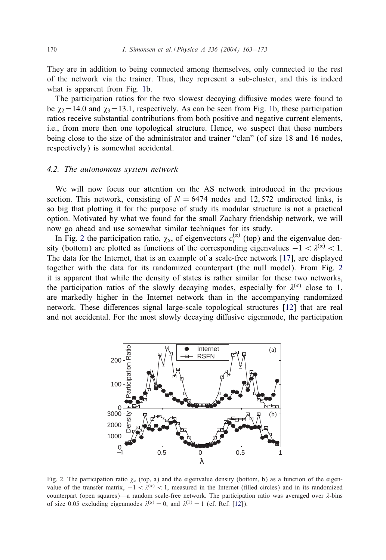<span id="page-7-0"></span>They are in addition to being connected among themselves, only connected to the rest of the network via the trainer. Thus, they represent a sub-cluster, and this is indeed what is apparent from Fig. [1b](#page-5-0).

The participation ratios for the two slowest decaying diffusive modes were found to be  $\chi_2$  = 14.0 and  $\chi_3$  = 13.1, respectively. As can be seen from Fig. [1b](#page-5-0), these participation ratios receive substantial contributions from both positive and negative current elements, i.e., from more then one topological structure. Hence, we suspect that these numbers being close to the size of the administrator and trainer "clan" (of size 18 and 16 nodes, respectively) is somewhat accidental.

#### *4.2. The autonomous system network*

We will now focus our attention on the AS network introduced in the previous section. This network, consisting of  $N = 6474$  nodes and 12,572 undirected links, is so big that plotting it for the purpose of study its modular structure is not a practical option. Motivated by what we found for the small Zachary friendship network, we will now go ahead and use somewhat similar techniques for its study.

In Fig. 2 the participation ratio,  $\chi_{\alpha}$ , of eigenvectors  $c_i^{(\alpha)}$  (top) and the eigenvalue density (bottom) are plotted as functions of the corresponding eigenvalues  $-1 < \lambda^{(\alpha)} < 1$ . The data for the Internet, that is an example of a scale-free network [\[17\]](#page-10-0), are displayed together with the data for its randomized counterpart (the null model). From Fig. 2 it is apparent that while the density of states is rather similar for these two networks, the participation ratios of the slowly decaying modes, especially for  $\lambda^{(\alpha)}$  close to 1, are markedly higher in the Internet network than in the accompanying randomized network. These differences signal large-scale topological structures [\[12\]](#page-10-0) that are real and not accidental. For the most slowly decaying diffusive eigenmode, the participation



Fig. 2. The participation ratio  $\chi_{\alpha}$  (top, a) and the eigenvalue density (bottom, b) as a function of the eigenvalue of the transfer matrix,  $-1 < \lambda^{(2)} < 1$ , measured in the Internet (filled circles) and in its randomized counterpart (open squares)—a random scale-free network. The participation ratio was averaged over  $\lambda$ -bins of size 0.05 excluding eigenmodes  $\lambda^{(\alpha)} = 0$ , and  $\lambda^{(1)} = 1$  (cf. Ref. [\[12\]](#page-10-0)).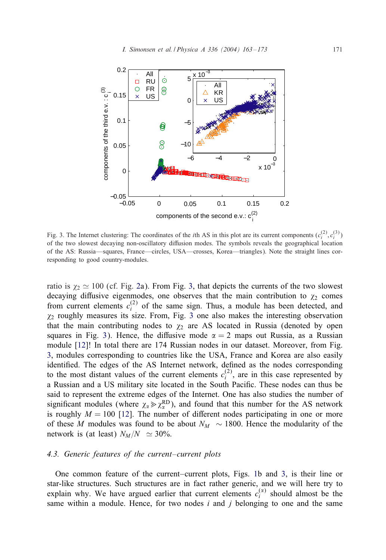<span id="page-8-0"></span>

Fig. 3. The Internet clustering: The coordinates of the *i*th AS in this plot are its current components  $(c_i^{(2)}, c_i^{(3)})$ of the two slowest decaying non-oscillatory diffusion modes. The symbols reveals the geographical location of the AS: Russia—squares, France—circles, USA—crosses, Korea—triangles). Note the straight lines corresponding to good country-modules.

ratio is  $\chi_2 \simeq 100$  (cf. Fig. [2a](#page-7-0)). From Fig. 3, that depicts the currents of the two slowest decaying diffusive eigenmodes, one observes that the main contribution to  $\chi_2$  comes from current elements  $c_i^{(2)}$  of the same sign. Thus, a module has been detected, and  $\chi_2$  roughly measures its size. From, Fig. 3 one also makes the interesting observation that the main contributing nodes to  $\chi_2$  are AS located in Russia (denoted by open squares in Fig. 3). Hence, the diffusive mode  $\alpha = 2$  maps out Russia, as a Russian module [\[12\]](#page-10-0)! In total there are 174 Russian nodes in our dataset. Moreover, from Fig. 3, modules corresponding to countries like the USA, France and Korea are also easily identified. The edges of the AS Internet network, defined as the nodes corresponding to the most distant values of the current elements  $c_i^{(2)}$ , are in this case represented by a Russian and a US military site located in the South Pacific. These nodes can thus be said to represent the extreme edges of the Internet. One has also studies the number of significant modules (where  $\chi_{\alpha} \gg \chi_{\alpha}^{RD}$ ), and found that this number for the AS network is roughly  $M = 100$  [\[12\]](#page-10-0). The number of different nodes participating in one or more of these M modules was found to be about  $N_M \sim 1800$ . Hence the modularity of the network is (at least)  $N_M/N \simeq 30\%$ .

# *4.3. Generic features of the current–current plots*

One common feature of the current–current plots, Figs. [1b](#page-5-0) and 3, is their line or star-like structures. Such structures are in fact rather generic, and we will here try to explain why. We have argued earlier that current elements  $c_i^{(\alpha)}$  should almost be the same within a module. Hence, for two nodes  $i$  and  $j$  belonging to one and the same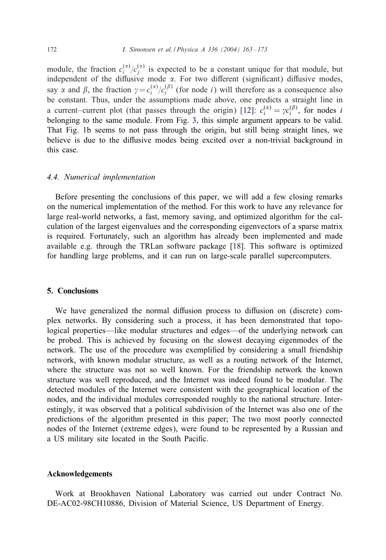module, the fraction  $c_i^{(\alpha)}/c_j^{(\alpha)}$  is expected to be a constant unique for that module, but independent of the diffusive mode  $\alpha$ . For two different (significant) diffusive modes, say  $\alpha$  and  $\beta$ , the fraction  $\gamma = c_i^{(\alpha)}/c_i^{(\beta)}$  (for node *i*) will therefore as a consequence also be constant. Thus, under the assumptions made above, one predicts a straight line in a current–current plot (that passes through the origin) [\[12\]](#page-10-0):  $c_i^{(\alpha)} = \gamma c_i^{(\beta)}$ , for nodes i belonging to the same module. From Fig. [3,](#page-8-0) this simple argument appears to be valid. That Fig. [1b](#page-5-0) seems to not pass through the origin, but still being straight lines, we believe is due to the diffusive modes being excited over a non-trivial background in this case.

# *4.4. Numerical implementation*

Before presenting the conclusions of this paper, we will add a few closing remarks on the numerical implementation of the method. For this work to have any relevance for large real-world networks, a fast, memory saving, and optimized algorithm for the calculation of the largest eigenvalues and the corresponding eigenvectors of a sparse matrix is required. Fortunately, such an algorithm has already been implemented and made available e.g. through the TRLan software package [\[18\]](#page-10-0). This software is optimized for handling large problems, and it can run on large-scale parallel supercomputers.

#### 5. Conclusions

We have generalized the normal diffusion process to diffusion on (discrete) complex networks. By considering such a process, it has been demonstrated that topological properties—like modular structures and edges—of the underlying network can be probed. This is achieved by focusing on the slowest decaying eigenmodes of the network. The use of the procedure was exemplified by considering a small friendship network, with known modular structure, as well as a routing network of the Internet, where the structure was not so well known. For the friendship network the known structure was well reproduced, and the Internet was indeed found to be modular. The detected modules of the Internet were consistent with the geographical location of the nodes, and the individual modules corresponded roughly to the national structure. Interestingly, it was observed that a political subdivision of the Internet was also one of the predictions of the algorithm presented in this paper; The two most poorly connected nodes of the Internet (extreme edges), were found to be represented by a Russian and a US military site located in the South Pacific.

#### Acknowledgements

Work at Brookhaven National Laboratory was carried out under Contract No. DE-AC02-98CH10886, Division of Material Science, US Department of Energy.